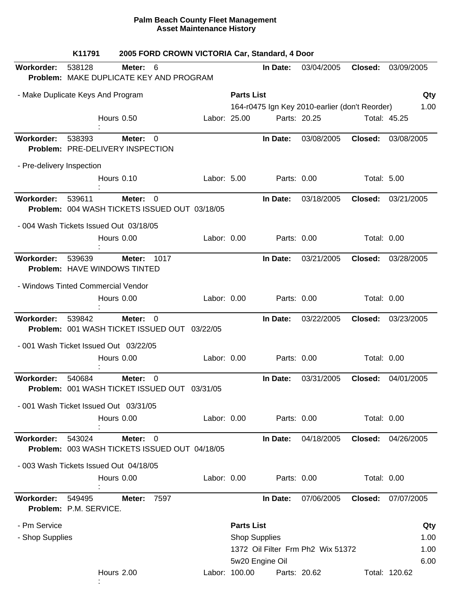|                                    | K11791                           | 2005 FORD CROWN VICTORIA Car, Standard, 4 Door                                  |              |                   |                      |                                                |             |                    |
|------------------------------------|----------------------------------|---------------------------------------------------------------------------------|--------------|-------------------|----------------------|------------------------------------------------|-------------|--------------------|
| Workorder:                         | 538128                           | Meter: 6<br>Problem: MAKE DUPLICATE KEY AND PROGRAM                             |              |                   | In Date:             | 03/04/2005                                     | Closed:     | 03/09/2005         |
| - Make Duplicate Keys And Program  |                                  |                                                                                 |              | <b>Parts List</b> |                      |                                                |             | Qty                |
|                                    |                                  |                                                                                 |              |                   |                      | 164-r0475 Ign Key 2010-earlier (don't Reorder) |             | 1.00               |
|                                    |                                  | Hours 0.50                                                                      | Labor: 25.00 |                   | Parts: 20.25         |                                                |             | Total: 45.25       |
| Workorder:                         | 538393                           | Meter:<br>0<br>Problem: PRE-DELIVERY INSPECTION                                 |              |                   | In Date:             | 03/08/2005                                     | Closed:     | 03/08/2005         |
| - Pre-delivery Inspection          |                                  |                                                                                 |              |                   |                      |                                                |             |                    |
|                                    |                                  | Hours 0.10                                                                      | Labor: 5.00  |                   | Parts: 0.00          |                                                | Total: 5.00 |                    |
| <b>Workorder:</b>                  | 539611                           | Meter:<br>$\Omega$<br>Problem: 004 WASH TICKETS ISSUED OUT 03/18/05             |              |                   | In Date:             | 03/18/2005                                     | Closed:     | 03/21/2005         |
|                                    |                                  | - 004 Wash Tickets Issued Out 03/18/05                                          |              |                   |                      |                                                |             |                    |
|                                    |                                  | Hours 0.00                                                                      | Labor: 0.00  |                   | Parts: 0.00          |                                                | Total: 0.00 |                    |
| <b>Workorder:</b>                  | 539639                           | 1017<br>Meter:<br>Problem: HAVE WINDOWS TINTED                                  |              |                   | In Date:             | 03/21/2005                                     | Closed:     | 03/28/2005         |
| - Windows Tinted Commercial Vendor |                                  |                                                                                 |              |                   |                      |                                                |             |                    |
|                                    |                                  | Hours 0.00                                                                      | Labor: 0.00  |                   | Parts: 0.00          |                                                | Total: 0.00 |                    |
| <b>Workorder:</b>                  | 539842                           | <b>Meter:</b><br>$\overline{0}$<br>Problem: 001 WASH TICKET ISSUED OUT 03/22/05 |              |                   | In Date:             | 03/22/2005                                     | Closed:     | 03/23/2005         |
|                                    |                                  | - 001 Wash Ticket Issued Out 03/22/05                                           |              |                   |                      |                                                |             |                    |
|                                    |                                  | Hours 0.00                                                                      | Labor: 0.00  |                   | Parts: 0.00          |                                                | Total: 0.00 |                    |
| <b>Workorder:</b>                  | 540684                           | $\Omega$<br>Meter:<br>Problem: 001 WASH TICKET ISSUED OUT 03/31/05              |              |                   | In Date:             | 03/31/2005                                     | Closed:     | 04/01/2005         |
|                                    |                                  | - 001 Wash Ticket Issued Out 03/31/05                                           |              |                   |                      |                                                |             |                    |
|                                    |                                  | Hours 0.00                                                                      | Labor: 0.00  |                   | Parts: 0.00          |                                                | Total: 0.00 |                    |
| <b>Workorder:</b>                  | 543024                           | Meter:<br>$\Omega$<br>Problem: 003 WASH TICKETS ISSUED OUT 04/18/05             |              |                   | In Date:             | 04/18/2005                                     |             | Closed: 04/26/2005 |
|                                    |                                  | - 003 Wash Tickets Issued Out 04/18/05                                          |              |                   |                      |                                                |             |                    |
|                                    |                                  | Hours 0.00                                                                      | Labor: 0.00  |                   | Parts: 0.00          |                                                | Total: 0.00 |                    |
| Workorder:                         | 549495<br>Problem: P.M. SERVICE. | 7597<br>Meter:                                                                  |              |                   | In Date:             | 07/06/2005                                     | Closed:     | 07/07/2005         |
| - Pm Service                       |                                  |                                                                                 |              | <b>Parts List</b> |                      |                                                |             | Qty                |
| - Shop Supplies                    |                                  |                                                                                 |              |                   | <b>Shop Supplies</b> |                                                |             | 1.00               |
|                                    |                                  |                                                                                 |              |                   |                      | 1372 Oil Filter Frm Ph2 Wix 51372              |             | 1.00               |
|                                    |                                  |                                                                                 |              |                   | 5w20 Engine Oil      |                                                |             | 6.00               |
|                                    |                                  | Hours 2.00                                                                      |              | Labor: 100.00     | Parts: 20.62         |                                                |             | Total: 120.62      |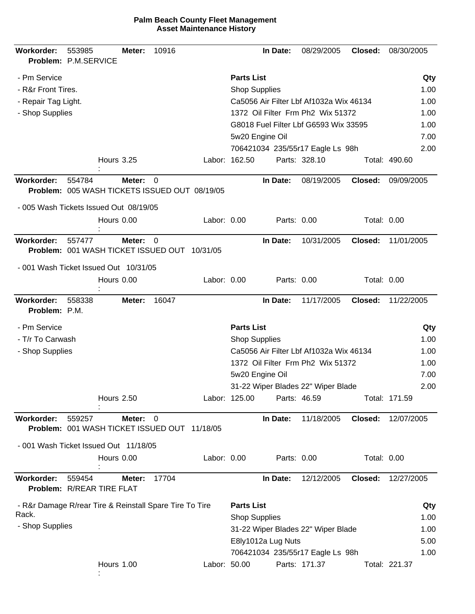| <b>Workorder:</b>           | 553985<br>Problem: P.M.SERVICE                          | Meter: | 10916          |              |                      | In Date:           | 08/29/2005                              | Closed:     | 08/30/2005    |
|-----------------------------|---------------------------------------------------------|--------|----------------|--------------|----------------------|--------------------|-----------------------------------------|-------------|---------------|
| - Pm Service                |                                                         |        |                |              | <b>Parts List</b>    |                    |                                         |             | Qty           |
| - R&r Front Tires.          |                                                         |        |                |              | <b>Shop Supplies</b> |                    |                                         |             | 1.00          |
| - Repair Tag Light.         |                                                         |        |                |              |                      |                    | Ca5056 Air Filter Lbf Af1032a Wix 46134 |             | 1.00          |
| - Shop Supplies             |                                                         |        |                |              |                      |                    | 1372 Oil Filter Frm Ph2 Wix 51372       |             | 1.00          |
|                             |                                                         |        |                |              |                      |                    | G8018 Fuel Filter Lbf G6593 Wix 33595   |             | 1.00          |
|                             |                                                         |        |                |              |                      | 5w20 Engine Oil    |                                         |             | 7.00          |
|                             |                                                         |        |                |              |                      |                    | 706421034 235/55r17 Eagle Ls 98h        |             | 2.00          |
|                             | <b>Hours 3.25</b>                                       |        |                |              | Labor: 162.50        |                    | Parts: 328.10                           |             | Total: 490.60 |
| <b>Workorder:</b>           | 554784<br>Problem: 005 WASH TICKETS ISSUED OUT 08/19/05 | Meter: | 0              |              |                      | In Date:           | 08/19/2005                              | Closed:     | 09/09/2005    |
|                             | - 005 Wash Tickets Issued Out 08/19/05                  |        |                |              |                      |                    |                                         |             |               |
|                             | Hours 0.00                                              |        |                | Labor: 0.00  |                      | Parts: 0.00        |                                         | Total: 0.00 |               |
| Workorder:                  | 557477<br>Problem: 001 WASH TICKET ISSUED OUT 10/31/05  | Meter: | $\overline{0}$ |              |                      | In Date:           | 10/31/2005                              | Closed:     | 11/01/2005    |
|                             | - 001 Wash Ticket Issued Out 10/31/05                   |        |                |              |                      |                    |                                         |             |               |
|                             | Hours 0.00                                              |        |                | Labor: 0.00  |                      | Parts: 0.00        |                                         | Total: 0.00 |               |
| Workorder:<br>Problem: P.M. | 558338                                                  | Meter: | 16047          |              |                      | In Date:           | 11/17/2005                              | Closed:     | 11/22/2005    |
| - Pm Service                |                                                         |        |                |              | <b>Parts List</b>    |                    |                                         |             | Qty           |
| - T/r To Carwash            |                                                         |        |                |              | <b>Shop Supplies</b> |                    |                                         |             | 1.00          |
| - Shop Supplies             |                                                         |        |                |              |                      |                    | Ca5056 Air Filter Lbf Af1032a Wix 46134 |             | 1.00          |
|                             |                                                         |        |                |              |                      |                    | 1372 Oil Filter Frm Ph2 Wix 51372       |             | 1.00          |
|                             |                                                         |        |                |              |                      | 5w20 Engine Oil    |                                         |             | 7.00          |
|                             |                                                         |        |                |              |                      |                    | 31-22 Wiper Blades 22" Wiper Blade      |             | 2.00          |
|                             | <b>Hours 2.50</b>                                       |        |                |              | Labor: 125.00        |                    | Parts: 46.59                            |             | Total: 171.59 |
| Workorder:                  | 559257<br>Problem: 001 WASH TICKET ISSUED OUT 11/18/05  | Meter: | 0              |              |                      | In Date:           | 11/18/2005                              | Closed:     | 12/07/2005    |
|                             | - 001 Wash Ticket Issued Out 11/18/05                   |        |                |              |                      |                    |                                         |             |               |
|                             | Hours 0.00                                              |        |                | Labor: 0.00  |                      | Parts: 0.00        |                                         | Total: 0.00 |               |
| Workorder:                  | 559454<br>Problem: R/REAR TIRE FLAT                     | Meter: | 17704          |              |                      | In Date:           | 12/12/2005                              | Closed:     | 12/27/2005    |
|                             | - R&r Damage R/rear Tire & Reinstall Spare Tire To Tire |        |                |              | <b>Parts List</b>    |                    |                                         |             | Qty           |
| Rack.                       |                                                         |        |                |              | <b>Shop Supplies</b> |                    |                                         |             | 1.00          |
| - Shop Supplies             |                                                         |        |                |              |                      |                    | 31-22 Wiper Blades 22" Wiper Blade      |             | 1.00          |
|                             |                                                         |        |                |              |                      | E8ly1012a Lug Nuts |                                         |             | 5.00          |
|                             |                                                         |        |                |              |                      |                    | 706421034 235/55r17 Eagle Ls 98h        |             | 1.00          |
|                             | Hours 1.00                                              |        |                | Labor: 50.00 |                      |                    | Parts: 171.37                           |             | Total: 221.37 |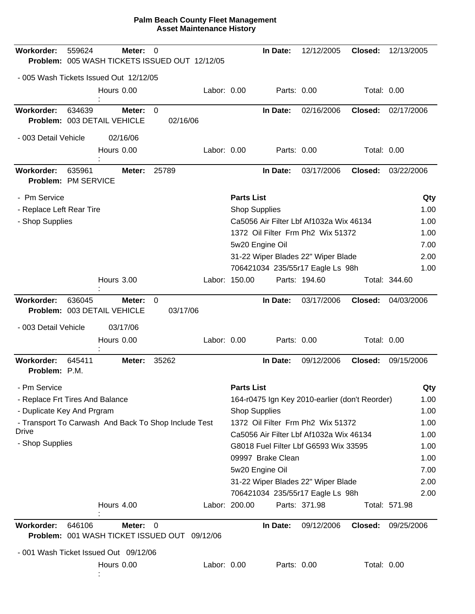| Workorder:                               | 559624 | Meter:<br>Problem: 005 WASH TICKETS ISSUED OUT 12/12/05 | 0              |          |             |                      | In Date:          | 12/12/2005                                     | Closed:     | 12/13/2005    |              |
|------------------------------------------|--------|---------------------------------------------------------|----------------|----------|-------------|----------------------|-------------------|------------------------------------------------|-------------|---------------|--------------|
|                                          |        | - 005 Wash Tickets Issued Out 12/12/05                  |                |          |             |                      |                   |                                                |             |               |              |
|                                          |        | Hours 0.00                                              |                |          | Labor: 0.00 |                      |                   | Parts: 0.00                                    | Total: 0.00 |               |              |
| <b>Workorder:</b>                        | 634639 | Meter:<br>Problem: 003 DETAIL VEHICLE                   | $\Omega$       | 02/16/06 |             |                      | In Date:          | 02/16/2006                                     | Closed:     | 02/17/2006    |              |
| - 003 Detail Vehicle                     |        | 02/16/06                                                |                |          |             |                      |                   |                                                |             |               |              |
|                                          |        | Hours 0.00                                              |                |          | Labor: 0.00 |                      |                   | Parts: 0.00                                    | Total: 0.00 |               |              |
| <b>Workorder:</b><br>Problem: PM SERVICE | 635961 | Meter:                                                  | 25789          |          |             |                      | In Date:          | 03/17/2006                                     | Closed:     | 03/22/2006    |              |
| - Pm Service                             |        |                                                         |                |          |             | <b>Parts List</b>    |                   |                                                |             |               | Qty          |
| - Replace Left Rear Tire                 |        |                                                         |                |          |             | <b>Shop Supplies</b> |                   |                                                |             |               | 1.00         |
| - Shop Supplies                          |        |                                                         |                |          |             |                      |                   | Ca5056 Air Filter Lbf Af1032a Wix 46134        |             |               | 1.00         |
|                                          |        |                                                         |                |          |             |                      |                   | 1372 Oil Filter Frm Ph <sub>2</sub> Wix 51372  |             |               | 1.00         |
|                                          |        |                                                         |                |          |             | 5w20 Engine Oil      |                   |                                                |             |               | 7.00         |
|                                          |        |                                                         |                |          |             |                      |                   | 31-22 Wiper Blades 22" Wiper Blade             |             |               | 2.00         |
|                                          |        |                                                         |                |          |             |                      |                   | 706421034 235/55r17 Eagle Ls 98h               |             |               | 1.00         |
|                                          |        | Hours 3.00                                              |                |          |             | Labor: 150.00        |                   | Parts: 194.60                                  |             | Total: 344.60 |              |
| Workorder:                               | 636045 | Meter:<br>Problem: 003 DETAIL VEHICLE                   | 0              | 03/17/06 |             |                      | In Date:          | 03/17/2006                                     | Closed:     | 04/03/2006    |              |
| - 003 Detail Vehicle                     |        | 03/17/06                                                |                |          |             |                      |                   |                                                |             |               |              |
|                                          |        | Hours 0.00                                              |                |          | Labor: 0.00 |                      |                   | Parts: 0.00                                    | Total: 0.00 |               |              |
| Workorder:<br>Problem: P.M.              | 645411 | Meter:                                                  | 35262          |          |             |                      | In Date:          | 09/12/2006                                     | Closed:     | 09/15/2006    |              |
| - Pm Service                             |        |                                                         |                |          |             | <b>Parts List</b>    |                   |                                                |             |               | Qty          |
| - Replace Frt Tires And Balance          |        |                                                         |                |          |             |                      |                   | 164-r0475 Ign Key 2010-earlier (don't Reorder) |             |               | 1.00         |
| - Duplicate Key And Prgram               |        |                                                         |                |          |             | <b>Shop Supplies</b> |                   |                                                |             |               | 1.00         |
|                                          |        | - Transport To Carwash And Back To Shop Include Test    |                |          |             |                      |                   | 1372 Oil Filter Frm Ph2 Wix 51372              |             |               | 1.00         |
| Drive<br>- Shop Supplies                 |        |                                                         |                |          |             |                      |                   | Ca5056 Air Filter Lbf Af1032a Wix 46134        |             |               | 1.00         |
|                                          |        |                                                         |                |          |             |                      |                   | G8018 Fuel Filter Lbf G6593 Wix 33595          |             |               | 1.00         |
|                                          |        |                                                         |                |          |             |                      | 09997 Brake Clean |                                                |             |               | 1.00         |
|                                          |        |                                                         |                |          |             | 5w20 Engine Oil      |                   | 31-22 Wiper Blades 22" Wiper Blade             |             |               | 7.00<br>2.00 |
|                                          |        |                                                         |                |          |             |                      |                   | 706421034 235/55r17 Eagle Ls 98h               |             |               | 2.00         |
|                                          |        | Hours 4.00                                              |                |          |             | Labor: 200.00        |                   | Parts: 371.98                                  |             | Total: 571.98 |              |
| Workorder:                               | 646106 | Meter:<br>Problem: 001 WASH TICKET ISSUED OUT           | $\overline{0}$ |          | 09/12/06    |                      | In Date:          | 09/12/2006                                     | Closed:     | 09/25/2006    |              |
|                                          |        | - 001 Wash Ticket Issued Out 09/12/06                   |                |          |             |                      |                   |                                                |             |               |              |
|                                          |        | Hours 0.00                                              |                |          | Labor: 0.00 |                      |                   | Parts: 0.00                                    | Total: 0.00 |               |              |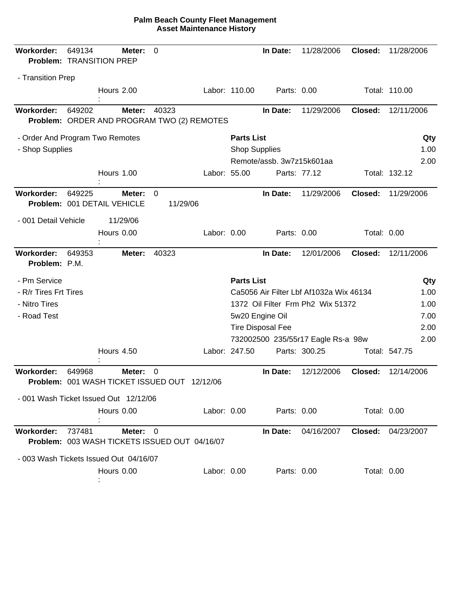| <b>Workorder:</b>               | 649134 | Meter:<br>Problem: TRANSITION PREP                        | 0     |              |                      | In Date:                  | 11/28/2006                              | Closed:            | 11/28/2006                |
|---------------------------------|--------|-----------------------------------------------------------|-------|--------------|----------------------|---------------------------|-----------------------------------------|--------------------|---------------------------|
| - Transition Prep               |        |                                                           |       |              |                      |                           |                                         |                    |                           |
|                                 |        | Hours 2.00                                                |       |              | Labor: 110.00        | Parts: 0.00               |                                         |                    | Total: 110.00             |
|                                 |        |                                                           |       |              |                      |                           |                                         |                    |                           |
| Workorder:                      | 649202 | Meter:<br>Problem: ORDER AND PROGRAM TWO (2) REMOTES      | 40323 |              |                      | In Date:                  | 11/29/2006                              | Closed:            | 12/11/2006                |
|                                 |        |                                                           |       |              |                      |                           |                                         |                    |                           |
| - Order And Program Two Remotes |        |                                                           |       |              | <b>Parts List</b>    |                           |                                         |                    | Qty                       |
| - Shop Supplies                 |        |                                                           |       |              | <b>Shop Supplies</b> |                           |                                         |                    | 1.00                      |
|                                 |        |                                                           |       |              |                      | Remote/assb. 3w7z15k601aa |                                         |                    | 2.00                      |
|                                 |        | Hours 1.00                                                |       | Labor: 55.00 |                      | Parts: 77.12              |                                         |                    | Total: 132.12             |
| Workorder:                      | 649225 | Meter:<br>Problem: 001 DETAIL VEHICLE                     | 0     | 11/29/06     |                      | In Date:                  | 11/29/2006                              | Closed:            | 11/29/2006                |
| - 001 Detail Vehicle            |        | 11/29/06                                                  |       |              |                      |                           |                                         |                    |                           |
|                                 |        | Hours 0.00                                                |       | Labor: 0.00  |                      | Parts: 0.00               |                                         | Total: 0.00        |                           |
| Workorder:<br>Problem: P.M.     | 649353 | Meter:                                                    | 40323 |              |                      | In Date:                  | 12/01/2006                              | Closed:            | 12/11/2006                |
| - Pm Service                    |        |                                                           |       |              | <b>Parts List</b>    |                           |                                         |                    | Qty                       |
| - R/r Tires Frt Tires           |        |                                                           |       |              |                      |                           | Ca5056 Air Filter Lbf Af1032a Wix 46134 |                    | 1.00                      |
| - Nitro Tires                   |        |                                                           |       |              |                      |                           | 1372 Oil Filter Frm Ph2 Wix 51372       |                    | 1.00                      |
| - Road Test                     |        |                                                           |       |              |                      | 5w20 Engine Oil           |                                         |                    | 7.00                      |
|                                 |        |                                                           |       |              |                      | <b>Tire Disposal Fee</b>  |                                         |                    | 2.00                      |
|                                 |        |                                                           |       |              |                      |                           | 732002500 235/55r17 Eagle Rs-a 98w      |                    | 2.00                      |
|                                 |        | <b>Hours 4.50</b>                                         |       |              | Labor: 247.50        |                           | Parts: 300.25                           |                    | Total: 547.75             |
| Workorder:                      | 649968 | Meter:<br>Problem: 001 WASH TICKET ISSUED OUT 12/12/06    | 0     |              |                      | In Date:                  | 12/12/2006                              | Closed:            | 12/14/2006                |
|                                 |        | - 001 Wash Ticket Issued Out 12/12/06                     |       |              |                      |                           |                                         |                    |                           |
|                                 |        | Hours 0.00                                                |       | Labor: 0.00  |                      | Parts: 0.00               |                                         | Total: 0.00        |                           |
| <b>Workorder:</b>               | 737481 | Meter: 0<br>Problem: 003 WASH TICKETS ISSUED OUT 04/16/07 |       |              |                      | In Date:                  | 04/16/2007                              |                    | <b>Closed: 04/23/2007</b> |
|                                 |        | - 003 Wash Tickets Issued Out 04/16/07                    |       |              |                      |                           |                                         |                    |                           |
|                                 |        | Hours 0.00                                                |       | Labor: 0.00  |                      | Parts: 0.00               |                                         | <b>Total: 0.00</b> |                           |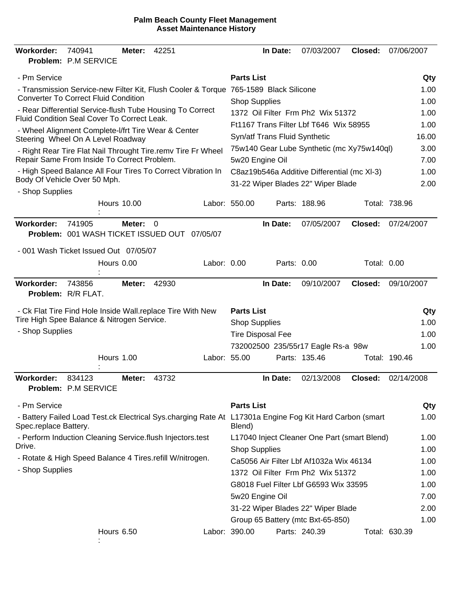| <b>Workorder:</b>     | 740941<br>Problem: P.M SERVICE                                                                           | Meter:             | 42251 |              |                      | In Date:                      | 07/03/2007                                   | Closed:            | 07/06/2007    |       |
|-----------------------|----------------------------------------------------------------------------------------------------------|--------------------|-------|--------------|----------------------|-------------------------------|----------------------------------------------|--------------------|---------------|-------|
| - Pm Service          |                                                                                                          |                    |       |              | <b>Parts List</b>    |                               |                                              |                    |               | Qty   |
|                       | - Transmission Service-new Filter Kit, Flush Cooler & Torque 765-1589 Black Silicone                     |                    |       |              |                      |                               |                                              |                    |               | 1.00  |
|                       | <b>Converter To Correct Fluid Condition</b>                                                              |                    |       |              | <b>Shop Supplies</b> |                               |                                              |                    |               | 1.00  |
|                       | - Rear Differential Service-flush Tube Housing To Correct<br>Fluid Condition Seal Cover To Correct Leak. |                    |       |              |                      |                               | 1372 Oil Filter Frm Ph2 Wix 51372            |                    |               | 1.00  |
|                       | - Wheel Alignment Complete-I/frt Tire Wear & Center                                                      |                    |       |              |                      |                               | Ft1167 Trans Filter Lbf T646 Wix 58955       |                    |               | 1.00  |
|                       | Steering Wheel On A Level Roadway                                                                        |                    |       |              |                      | Syn/atf Trans Fluid Synthetic |                                              |                    |               | 16.00 |
|                       | - Right Rear Tire Flat Nail Throught Tire.remv Tire Fr Wheel                                             |                    |       |              |                      |                               | 75w140 Gear Lube Synthetic (mc Xy75w140ql)   |                    |               | 3.00  |
|                       | Repair Same From Inside To Correct Problem.                                                              |                    |       |              | 5w20 Engine Oil      |                               |                                              |                    |               | 7.00  |
|                       | - High Speed Balance All Four Tires To Correct Vibration In<br>Body Of Vehicle Over 50 Mph.              |                    |       |              |                      |                               | C8az19b546a Additive Differential (mc XI-3)  |                    |               | 1.00  |
| - Shop Supplies       |                                                                                                          |                    |       |              |                      |                               | 31-22 Wiper Blades 22" Wiper Blade           |                    |               | 2.00  |
|                       |                                                                                                          | <b>Hours 10.00</b> |       |              | Labor: 550.00        |                               | Parts: 188.96                                |                    | Total: 738.96 |       |
| Workorder:            | 741905                                                                                                   | Meter:             | 0     |              |                      | In Date:                      | 07/05/2007                                   | Closed:            | 07/24/2007    |       |
|                       | Problem: 001 WASH TICKET ISSUED OUT 07/05/07                                                             |                    |       |              |                      |                               |                                              |                    |               |       |
|                       | - 001 Wash Ticket Issued Out 07/05/07                                                                    |                    |       |              |                      |                               |                                              |                    |               |       |
|                       |                                                                                                          | Hours 0.00         |       | Labor: 0.00  |                      | Parts: 0.00                   |                                              | <b>Total: 0.00</b> |               |       |
| <b>Workorder:</b>     | 743856<br>Problem: R/R FLAT.                                                                             | Meter:             | 42930 |              |                      | In Date:                      | 09/10/2007                                   | Closed:            | 09/10/2007    |       |
|                       | - Ck Flat Tire Find Hole Inside Wall.replace Tire With New                                               |                    |       |              | <b>Parts List</b>    |                               |                                              |                    |               | Qty   |
|                       | Tire High Spee Balance & Nitrogen Service.                                                               |                    |       |              | <b>Shop Supplies</b> |                               |                                              |                    |               | 1.00  |
| - Shop Supplies       |                                                                                                          |                    |       |              |                      | <b>Tire Disposal Fee</b>      |                                              |                    |               | 1.00  |
|                       |                                                                                                          |                    |       |              |                      |                               | 732002500 235/55r17 Eagle Rs-a 98w           |                    |               | 1.00  |
|                       |                                                                                                          | Hours 1.00         |       | Labor: 55.00 |                      |                               | Parts: 135.46                                |                    | Total: 190.46 |       |
| <b>Workorder:</b>     | 834123<br>Problem: P.M SERVICE                                                                           | Meter:             | 43732 |              |                      | In Date:                      | 02/13/2008                                   | Closed:            | 02/14/2008    |       |
| - Pm Service          |                                                                                                          |                    |       |              | <b>Parts List</b>    |                               |                                              |                    |               | Qty   |
| Spec.replace Battery. | - Battery Failed Load Test.ck Electrical Sys.charging Rate At L17301a Engine Fog Kit Hard Carbon (smart  |                    |       |              | Blend)               |                               |                                              |                    |               | 1.00  |
|                       | - Perform Induction Cleaning Service.flush Injectors.test                                                |                    |       |              |                      |                               | L17040 Inject Cleaner One Part (smart Blend) |                    |               | 1.00  |
| Drive.                |                                                                                                          |                    |       |              | <b>Shop Supplies</b> |                               |                                              |                    |               | 1.00  |
|                       | - Rotate & High Speed Balance 4 Tires.refill W/nitrogen.                                                 |                    |       |              |                      |                               | Ca5056 Air Filter Lbf Af1032a Wix 46134      |                    |               | 1.00  |
| - Shop Supplies       |                                                                                                          |                    |       |              |                      |                               | 1372 Oil Filter Frm Ph2 Wix 51372            |                    |               | 1.00  |
|                       |                                                                                                          |                    |       |              |                      |                               | G8018 Fuel Filter Lbf G6593 Wix 33595        |                    |               | 1.00  |
|                       |                                                                                                          |                    |       |              | 5w20 Engine Oil      |                               |                                              |                    |               | 7.00  |
|                       |                                                                                                          |                    |       |              |                      |                               | 31-22 Wiper Blades 22" Wiper Blade           |                    |               | 2.00  |
|                       |                                                                                                          |                    |       |              |                      |                               | Group 65 Battery (mtc Bxt-65-850)            |                    |               | 1.00  |
|                       |                                                                                                          | Hours 6.50         |       |              | Labor: 390.00        |                               | Parts: 240.39                                |                    | Total: 630.39 |       |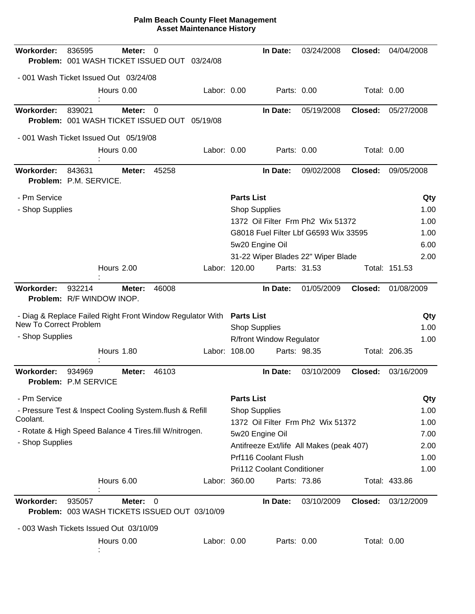| Workorder:                                                | 836595<br>Problem: 001 WASH TICKET ISSUED OUT 03/24/08  | Meter:     | 0        |             |                      | In Date:                   | 03/24/2008                               | Closed:            | 04/04/2008    |      |
|-----------------------------------------------------------|---------------------------------------------------------|------------|----------|-------------|----------------------|----------------------------|------------------------------------------|--------------------|---------------|------|
| - 001 Wash Ticket Issued Out 03/24/08                     |                                                         |            |          |             |                      |                            |                                          |                    |               |      |
|                                                           |                                                         | Hours 0.00 |          | Labor: 0.00 |                      | Parts: 0.00                |                                          | Total: 0.00        |               |      |
| <b>Workorder:</b>                                         | 839021<br>Problem: 001 WASH TICKET ISSUED OUT 05/19/08  | Meter:     | $\Omega$ |             |                      | In Date:                   | 05/19/2008                               | Closed:            | 05/27/2008    |      |
| - 001 Wash Ticket Issued Out 05/19/08                     |                                                         |            |          |             |                      |                            |                                          |                    |               |      |
|                                                           |                                                         | Hours 0.00 |          | Labor: 0.00 |                      | Parts: 0.00                |                                          | <b>Total: 0.00</b> |               |      |
| Workorder:                                                | 843631<br>Problem: P.M. SERVICE.                        | Meter:     | 45258    |             |                      | In Date:                   | 09/02/2008                               | Closed:            | 09/05/2008    |      |
| - Pm Service                                              |                                                         |            |          |             | <b>Parts List</b>    |                            |                                          |                    |               | Qty  |
| - Shop Supplies                                           |                                                         |            |          |             | <b>Shop Supplies</b> |                            |                                          |                    |               | 1.00 |
|                                                           |                                                         |            |          |             |                      |                            | 1372 Oil Filter Frm Ph2 Wix 51372        |                    |               | 1.00 |
|                                                           |                                                         |            |          |             |                      |                            | G8018 Fuel Filter Lbf G6593 Wix 33595    |                    |               | 1.00 |
|                                                           |                                                         |            |          |             |                      | 5w20 Engine Oil            |                                          |                    |               | 6.00 |
|                                                           |                                                         | Hours 2.00 |          |             | Labor: 120.00        | Parts: 31.53               | 31-22 Wiper Blades 22" Wiper Blade       |                    | Total: 151.53 | 2.00 |
|                                                           |                                                         |            |          |             |                      |                            |                                          |                    |               |      |
| Workorder:                                                | 932214<br>Problem: R/F WINDOW INOP.                     | Meter:     | 46008    |             |                      | In Date:                   | 01/05/2009                               | Closed:            | 01/08/2009    |      |
| - Diag & Replace Failed Right Front Window Regulator With |                                                         |            |          |             | <b>Parts List</b>    |                            |                                          |                    |               | Qty  |
| New To Correct Problem                                    |                                                         |            |          |             | <b>Shop Supplies</b> |                            |                                          |                    |               | 1.00 |
| - Shop Supplies                                           |                                                         |            |          |             |                      | R/front Window Regulator   |                                          |                    |               | 1.00 |
|                                                           |                                                         | Hours 1.80 |          |             | Labor: 108.00        | Parts: 98.35               |                                          |                    | Total: 206.35 |      |
| <b>Workorder:</b>                                         | 934969<br>Problem: P.M SERVICE                          | Meter:     | 46103    |             |                      | In Date:                   | 03/10/2009                               | Closed:            | 03/16/2009    |      |
| - Pm Service                                              |                                                         |            |          |             | <b>Parts List</b>    |                            |                                          |                    |               | Qty  |
| - Pressure Test & Inspect Cooling System.flush & Refill   |                                                         |            |          |             | <b>Shop Supplies</b> |                            |                                          |                    |               | 1.00 |
| Coolant.                                                  |                                                         |            |          |             |                      |                            | 1372 Oil Filter Frm Ph2 Wix 51372        |                    |               | 1.00 |
| - Rotate & High Speed Balance 4 Tires.fill W/nitrogen.    |                                                         |            |          |             |                      | 5w20 Engine Oil            |                                          |                    |               | 7.00 |
| - Shop Supplies                                           |                                                         |            |          |             |                      |                            | Antifreeze Ext/life All Makes (peak 407) |                    |               | 2.00 |
|                                                           |                                                         |            |          |             |                      | Prf116 Coolant Flush       |                                          |                    |               | 1.00 |
|                                                           |                                                         |            |          |             |                      | Pri112 Coolant Conditioner |                                          |                    |               | 1.00 |
|                                                           |                                                         | Hours 6.00 |          |             | Labor: 360.00        | Parts: 73.86               |                                          |                    | Total: 433.86 |      |
| Workorder:                                                | 935057<br>Problem: 003 WASH TICKETS ISSUED OUT 03/10/09 | Meter: 0   |          |             |                      | In Date:                   | 03/10/2009                               | Closed:            | 03/12/2009    |      |
| - 003 Wash Tickets Issued Out 03/10/09                    |                                                         |            |          |             |                      |                            |                                          |                    |               |      |
|                                                           |                                                         | Hours 0.00 |          | Labor: 0.00 |                      | Parts: 0.00                |                                          | Total: 0.00        |               |      |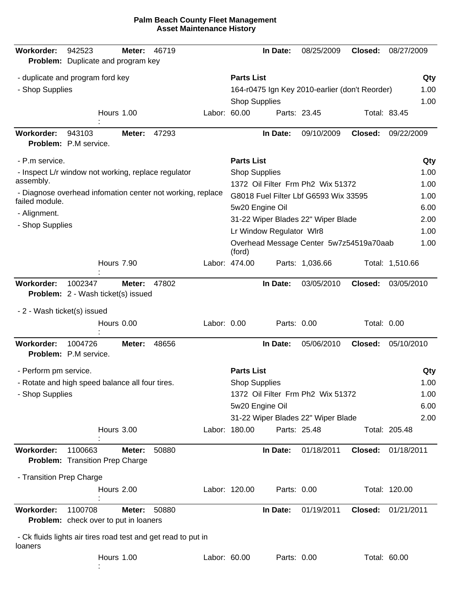| <b>Workorder:</b>           | 942523<br>Problem: Duplicate and program key                  | Meter:     | 46719 |              |                      | In Date:                 | 08/25/2009                                     | Closed:     | 08/27/2009      |
|-----------------------------|---------------------------------------------------------------|------------|-------|--------------|----------------------|--------------------------|------------------------------------------------|-------------|-----------------|
|                             | - duplicate and program ford key                              |            |       |              | <b>Parts List</b>    |                          |                                                |             | Qty             |
| - Shop Supplies             |                                                               |            |       |              |                      |                          | 164-r0475 Ign Key 2010-earlier (don't Reorder) |             | 1.00            |
|                             |                                                               |            |       |              | <b>Shop Supplies</b> |                          |                                                |             | 1.00            |
|                             |                                                               | Hours 1.00 |       | Labor: 60.00 |                      |                          | Parts: 23.45                                   |             | Total: 83.45    |
| <b>Workorder:</b>           | 943103<br>Problem: P.M service.                               | Meter:     | 47293 |              |                      | In Date:                 | 09/10/2009                                     | Closed:     | 09/22/2009      |
| - P.m service.              |                                                               |            |       |              | <b>Parts List</b>    |                          |                                                |             | Qty             |
| assembly.                   | - Inspect L/r window not working, replace regulator           |            |       |              | <b>Shop Supplies</b> |                          |                                                |             | 1.00            |
|                             | - Diagnose overhead infomation center not working, replace    |            |       |              |                      |                          | 1372 Oil Filter Frm Ph2 Wix 51372              |             | 1.00            |
| failed module.              |                                                               |            |       |              |                      |                          | G8018 Fuel Filter Lbf G6593 Wix 33595          |             | 1.00            |
| - Alignment.                |                                                               |            |       |              |                      | 5w20 Engine Oil          | 31-22 Wiper Blades 22" Wiper Blade             |             | 6.00<br>2.00    |
| - Shop Supplies             |                                                               |            |       |              |                      | Lr Window Regulator WIr8 |                                                |             | 1.00            |
|                             |                                                               |            |       |              | (ford)               |                          | Overhead Message Center 5w7z54519a70aab        |             | 1.00            |
|                             |                                                               | Hours 7.90 |       |              | Labor: 474.00        |                          | Parts: 1,036.66                                |             | Total: 1,510.66 |
| <b>Workorder:</b>           | 1002347<br><b>Problem:</b> 2 - Wash ticket(s) issued          | Meter:     | 47802 |              |                      | In Date:                 | 03/05/2010                                     | Closed:     | 03/05/2010      |
| - 2 - Wash ticket(s) issued |                                                               |            |       |              |                      |                          |                                                |             |                 |
|                             |                                                               | Hours 0.00 |       | Labor: 0.00  |                      | Parts: 0.00              |                                                | Total: 0.00 |                 |
| Workorder:                  | 1004726<br>Problem: P.M service.                              | Meter:     | 48656 |              |                      | In Date:                 | 05/06/2010                                     | Closed:     | 05/10/2010      |
| - Perform pm service.       |                                                               |            |       |              | <b>Parts List</b>    |                          |                                                |             | Qty             |
|                             | - Rotate and high speed balance all four tires.               |            |       |              | <b>Shop Supplies</b> |                          |                                                |             | 1.00            |
| - Shop Supplies             |                                                               |            |       |              |                      |                          | 1372 Oil Filter Frm Ph2 Wix 51372              |             | 1.00            |
|                             |                                                               |            |       |              |                      | 5w20 Engine Oil          |                                                |             | 6.00            |
|                             |                                                               |            |       |              |                      |                          | 31-22 Wiper Blades 22" Wiper Blade             |             | 2.00            |
|                             |                                                               | Hours 3.00 |       |              | Labor: 180.00        |                          | Parts: 25.48                                   |             | Total: 205.48   |
| Workorder:                  | 1100663<br><b>Problem:</b> Transition Prep Charge             | Meter:     | 50880 |              |                      | In Date:                 | 01/18/2011                                     | Closed:     | 01/18/2011      |
| - Transition Prep Charge    |                                                               |            |       |              |                      |                          |                                                |             |                 |
|                             |                                                               | Hours 2.00 |       |              | Labor: 120.00        | Parts: 0.00              |                                                |             | Total: 120.00   |
| Workorder:                  | 1100708<br><b>Problem:</b> check over to put in loaners       | Meter:     | 50880 |              |                      | In Date:                 | 01/19/2011                                     | Closed:     | 01/21/2011      |
| loaners                     | - Ck fluids lights air tires road test and get read to put in |            |       |              |                      |                          |                                                |             |                 |
|                             |                                                               | Hours 1.00 |       | Labor: 60.00 |                      | Parts: 0.00              |                                                |             | Total: 60.00    |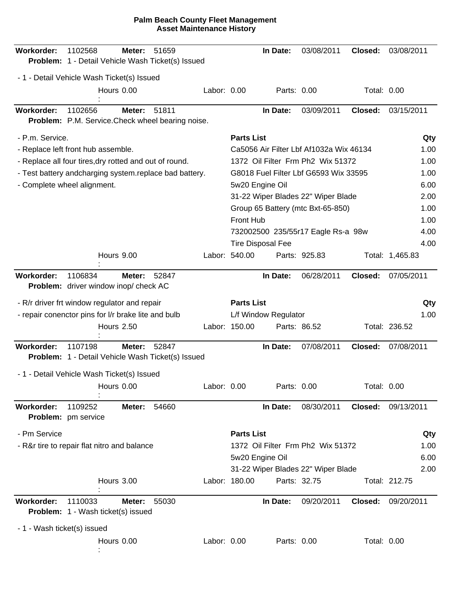| Workorder:                  | 1102568<br>Problem: 1 - Detail Vehicle Wash Ticket(s) Issued | Meter:            | 51659 |             |                   | In Date:                 | 03/08/2011                              | Closed:            | 03/08/2011      |      |
|-----------------------------|--------------------------------------------------------------|-------------------|-------|-------------|-------------------|--------------------------|-----------------------------------------|--------------------|-----------------|------|
|                             | - 1 - Detail Vehicle Wash Ticket(s) Issued                   |                   |       |             |                   |                          |                                         |                    |                 |      |
|                             |                                                              | Hours 0.00        |       | Labor: 0.00 |                   | Parts: 0.00              |                                         | Total: 0.00        |                 |      |
| Workorder:                  | 1102656<br>Problem: P.M. Service. Check wheel bearing noise. | Meter:            | 51811 |             |                   | In Date:                 | 03/09/2011                              | Closed:            | 03/15/2011      |      |
| - P.m. Service.             |                                                              |                   |       |             | <b>Parts List</b> |                          |                                         |                    |                 | Qty  |
|                             | - Replace left front hub assemble.                           |                   |       |             |                   |                          | Ca5056 Air Filter Lbf Af1032a Wix 46134 |                    |                 | 1.00 |
|                             | - Replace all four tires, dry rotted and out of round.       |                   |       |             |                   |                          | 1372 Oil Filter Frm Ph2 Wix 51372       |                    |                 | 1.00 |
|                             | - Test battery andcharging system.replace bad battery.       |                   |       |             |                   |                          | G8018 Fuel Filter Lbf G6593 Wix 33595   |                    |                 | 1.00 |
|                             | - Complete wheel alignment.                                  |                   |       |             |                   | 5w20 Engine Oil          |                                         |                    |                 | 6.00 |
|                             |                                                              |                   |       |             |                   |                          | 31-22 Wiper Blades 22" Wiper Blade      |                    |                 | 2.00 |
|                             |                                                              |                   |       |             |                   |                          | Group 65 Battery (mtc Bxt-65-850)       |                    |                 | 1.00 |
|                             |                                                              |                   |       |             | <b>Front Hub</b>  |                          |                                         |                    |                 | 1.00 |
|                             |                                                              |                   |       |             |                   |                          | 732002500 235/55r17 Eagle Rs-a 98w      |                    |                 | 4.00 |
|                             |                                                              |                   |       |             |                   | <b>Tire Disposal Fee</b> |                                         |                    |                 | 4.00 |
|                             |                                                              | Hours 9.00        |       |             | Labor: 540.00     |                          | Parts: 925.83                           |                    | Total: 1,465.83 |      |
| Workorder:                  | 1106834<br>Problem: driver window inop/ check AC             | Meter:            | 52847 |             |                   | In Date:                 | 06/28/2011                              | Closed:            | 07/05/2011      |      |
|                             | - R/r driver frt window regulator and repair                 |                   |       |             | <b>Parts List</b> |                          |                                         |                    |                 | Qty  |
|                             | - repair conenctor pins for I/r brake lite and bulb          |                   |       |             |                   | L/f Window Regulator     |                                         |                    |                 | 1.00 |
|                             |                                                              | <b>Hours 2.50</b> |       |             | Labor: 150.00     | Parts: 86.52             |                                         |                    | Total: 236.52   |      |
| Workorder:                  | 1107198<br>Problem: 1 - Detail Vehicle Wash Ticket(s) Issued | Meter:            | 52847 |             |                   | In Date:                 | 07/08/2011                              | Closed:            | 07/08/2011      |      |
|                             | - 1 - Detail Vehicle Wash Ticket(s) Issued                   |                   |       |             |                   |                          |                                         |                    |                 |      |
|                             |                                                              | Hours 0.00        |       | Labor: 0.00 |                   | Parts: 0.00              |                                         | <b>Total: 0.00</b> |                 |      |
| Workorder:                  | 1109252<br>Problem: pm service                               | Meter:            | 54660 |             |                   | In Date:                 | 08/30/2011                              | Closed:            | 09/13/2011      |      |
| - Pm Service                |                                                              |                   |       |             | <b>Parts List</b> |                          |                                         |                    |                 | Qty  |
|                             | - R&r tire to repair flat nitro and balance                  |                   |       |             |                   |                          | 1372 Oil Filter Frm Ph2 Wix 51372       |                    |                 | 1.00 |
|                             |                                                              |                   |       |             |                   | 5w20 Engine Oil          |                                         |                    |                 | 6.00 |
|                             |                                                              |                   |       |             |                   |                          | 31-22 Wiper Blades 22" Wiper Blade      |                    |                 | 2.00 |
|                             |                                                              | Hours 3.00        |       |             | Labor: 180.00     | Parts: 32.75             |                                         |                    | Total: 212.75   |      |
| Workorder:                  | 1110033<br>Problem: 1 - Wash ticket(s) issued                | Meter:            | 55030 |             |                   | In Date:                 | 09/20/2011                              | Closed:            | 09/20/2011      |      |
| - 1 - Wash ticket(s) issued |                                                              |                   |       |             |                   |                          |                                         |                    |                 |      |
|                             |                                                              | Hours 0.00        |       | Labor: 0.00 |                   | Parts: 0.00              |                                         | Total: 0.00        |                 |      |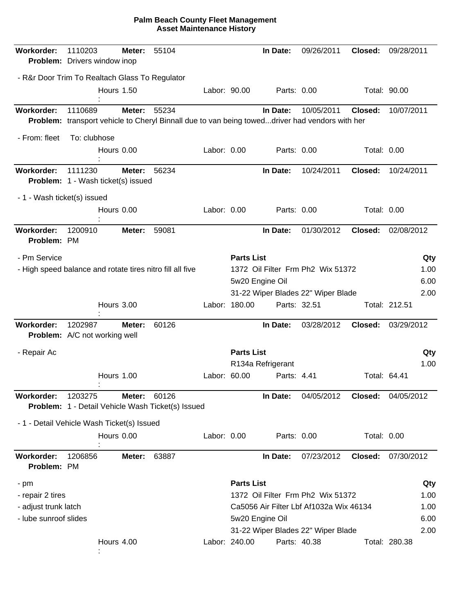| <b>Workorder:</b>                | 1110203<br>Problem: Drivers window inop                                                                   | Meter:            | 55104 |              |                   | In Date:          | 09/26/2011                              | Closed:            | 09/28/2011    |      |
|----------------------------------|-----------------------------------------------------------------------------------------------------------|-------------------|-------|--------------|-------------------|-------------------|-----------------------------------------|--------------------|---------------|------|
|                                  | - R&r Door Trim To Realtach Glass To Regulator                                                            |                   |       |              |                   |                   |                                         |                    |               |      |
|                                  |                                                                                                           | <b>Hours 1.50</b> |       | Labor: 90.00 |                   | Parts: 0.00       |                                         |                    | Total: 90.00  |      |
| Workorder:                       | 1110689<br>Problem: transport vehicle to Cheryl Binnall due to van being toweddriver had vendors with her | Meter:            | 55234 |              |                   | In Date:          | 10/05/2011                              | Closed:            | 10/07/2011    |      |
| - From: fleet                    | To: clubhose                                                                                              |                   |       |              |                   |                   |                                         |                    |               |      |
|                                  |                                                                                                           | Hours 0.00        |       | Labor: 0.00  |                   | Parts: 0.00       |                                         | <b>Total: 0.00</b> |               |      |
| Workorder:                       | 1111230<br><b>Problem:</b> 1 - Wash ticket(s) issued                                                      | Meter:            | 56234 |              |                   | In Date:          | 10/24/2011                              | Closed:            | 10/24/2011    |      |
| - 1 - Wash ticket(s) issued      |                                                                                                           |                   |       |              |                   |                   |                                         |                    |               |      |
|                                  |                                                                                                           | Hours 0.00        |       | Labor: 0.00  |                   | Parts: 0.00       |                                         | Total: 0.00        |               |      |
| Workorder:<br>Problem: PM        | 1200910                                                                                                   | Meter:            | 59081 |              |                   | In Date:          | 01/30/2012                              | Closed:            | 02/08/2012    |      |
| - Pm Service                     |                                                                                                           |                   |       |              | <b>Parts List</b> |                   |                                         |                    |               | Qty  |
|                                  | - High speed balance and rotate tires nitro fill all five                                                 |                   |       |              |                   |                   | 1372 Oil Filter Frm Ph2 Wix 51372       |                    |               | 1.00 |
|                                  |                                                                                                           |                   |       |              |                   | 5w20 Engine Oil   |                                         |                    |               | 6.00 |
|                                  |                                                                                                           |                   |       |              |                   |                   | 31-22 Wiper Blades 22" Wiper Blade      |                    |               | 2.00 |
|                                  |                                                                                                           | Hours 3.00        |       |              | Labor: 180.00     | Parts: 32.51      |                                         |                    | Total: 212.51 |      |
| Workorder:                       | 1202987<br>Problem: A/C not working well                                                                  | Meter:            | 60126 |              |                   | In Date:          | 03/28/2012                              | Closed:            | 03/29/2012    |      |
| - Repair Ac                      |                                                                                                           |                   |       |              | <b>Parts List</b> |                   |                                         |                    |               | Qty  |
|                                  |                                                                                                           |                   |       |              |                   | R134a Refrigerant |                                         |                    |               | 1.00 |
|                                  |                                                                                                           | Hours 1.00        |       | Labor: 60.00 |                   | Parts: 4.41       |                                         | Total: 64.41       |               |      |
| Workorder:                       | 1203275<br>Problem: 1 - Detail Vehicle Wash Ticket(s) Issued                                              | Meter:            | 60126 |              |                   | In Date:          | 04/05/2012                              | Closed:            | 04/05/2012    |      |
|                                  | - 1 - Detail Vehicle Wash Ticket(s) Issued                                                                |                   |       |              |                   |                   |                                         |                    |               |      |
|                                  |                                                                                                           | Hours 0.00        |       | Labor: 0.00  |                   | Parts: 0.00       |                                         | Total: 0.00        |               |      |
| <b>Workorder:</b><br>Problem: PM | 1206856                                                                                                   | Meter:            | 63887 |              |                   | In Date:          | 07/23/2012                              | Closed:            | 07/30/2012    |      |
| - pm                             |                                                                                                           |                   |       |              | <b>Parts List</b> |                   |                                         |                    |               | Qty  |
| - repair 2 tires                 |                                                                                                           |                   |       |              |                   |                   | 1372 Oil Filter Frm Ph2 Wix 51372       |                    |               | 1.00 |
| - adjust trunk latch             |                                                                                                           |                   |       |              |                   |                   | Ca5056 Air Filter Lbf Af1032a Wix 46134 |                    |               | 1.00 |
| - lube sunroof slides            |                                                                                                           |                   |       |              |                   | 5w20 Engine Oil   |                                         |                    |               | 6.00 |
|                                  |                                                                                                           |                   |       |              |                   |                   | 31-22 Wiper Blades 22" Wiper Blade      |                    |               | 2.00 |
|                                  |                                                                                                           | Hours 4.00        |       |              | Labor: 240.00     | Parts: 40.38      |                                         |                    | Total: 280.38 |      |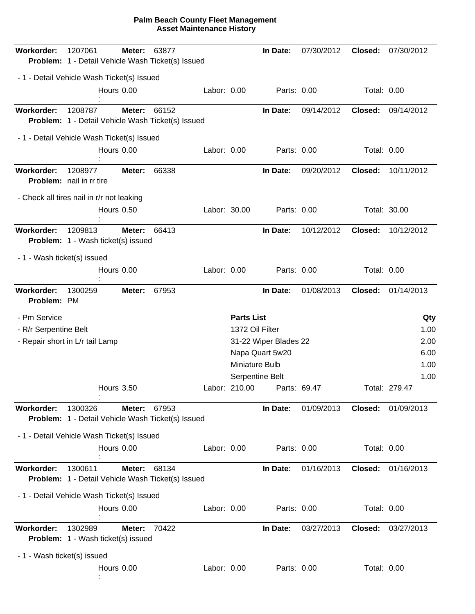| Workorder:                  | 1207061<br>Problem: 1 - Detail Vehicle Wash Ticket(s) Issued | Meter:            | 63877 |              |                   | In Date:              | 07/30/2012   | Closed:     | 07/30/2012            |
|-----------------------------|--------------------------------------------------------------|-------------------|-------|--------------|-------------------|-----------------------|--------------|-------------|-----------------------|
|                             | - 1 - Detail Vehicle Wash Ticket(s) Issued                   |                   |       |              |                   |                       |              |             |                       |
|                             |                                                              | Hours 0.00        |       | Labor: 0.00  |                   | Parts: 0.00           |              | Total: 0.00 |                       |
| <b>Workorder:</b>           | 1208787<br>Problem: 1 - Detail Vehicle Wash Ticket(s) Issued | Meter:            | 66152 |              |                   | In Date:              | 09/14/2012   | Closed:     | 09/14/2012            |
|                             | - 1 - Detail Vehicle Wash Ticket(s) Issued                   |                   |       |              |                   |                       |              |             |                       |
|                             |                                                              | Hours 0.00        |       | Labor: 0.00  |                   | Parts: 0.00           |              | Total: 0.00 |                       |
| <b>Workorder:</b>           | 1208977<br>Problem: nail in rr tire                          | Meter:            | 66338 |              |                   | In Date:              | 09/20/2012   | Closed:     | 10/11/2012            |
|                             | - Check all tires nail in r/r not leaking                    |                   |       |              |                   |                       |              |             |                       |
|                             |                                                              | Hours 0.50        |       | Labor: 30.00 |                   | Parts: 0.00           |              |             | Total: 30.00          |
| Workorder:                  | 1209813<br><b>Problem:</b> 1 - Wash ticket(s) issued         | Meter:            | 66413 |              |                   | In Date:              | 10/12/2012   | Closed:     | 10/12/2012            |
| - 1 - Wash ticket(s) issued |                                                              |                   |       |              |                   |                       |              |             |                       |
|                             |                                                              | Hours 0.00        |       | Labor: 0.00  |                   | Parts: 0.00           |              | Total: 0.00 |                       |
| Workorder:<br>Problem: PM   | 1300259                                                      | Meter:            | 67953 |              |                   | In Date:              | 01/08/2013   | Closed:     | 01/14/2013            |
| - Pm Service                |                                                              |                   |       |              | <b>Parts List</b> |                       |              |             | Qty                   |
| - R/r Serpentine Belt       |                                                              |                   |       |              | 1372 Oil Filter   |                       |              |             | 1.00                  |
|                             | - Repair short in L/r tail Lamp                              |                   |       |              |                   | 31-22 Wiper Blades 22 |              |             | 2.00                  |
|                             |                                                              |                   |       |              |                   | Napa Quart 5w20       |              |             | 6.00                  |
|                             |                                                              |                   |       |              | Miniature Bulb    |                       |              |             | 1.00                  |
|                             |                                                              | <b>Hours 3.50</b> |       |              | Labor: 210.00     | Serpentine Belt       | Parts: 69.47 |             | 1.00<br>Total: 279.47 |
| Workorder:                  | 1300326<br>Problem: 1 - Detail Vehicle Wash Ticket(s) Issued | Meter:            | 67953 |              |                   | In Date:              | 01/09/2013   | Closed:     | 01/09/2013            |
|                             | - 1 - Detail Vehicle Wash Ticket(s) Issued                   |                   |       |              |                   |                       |              |             |                       |
|                             |                                                              | Hours 0.00        |       | Labor: 0.00  |                   | Parts: 0.00           |              | Total: 0.00 |                       |
| <b>Workorder:</b>           | 1300611<br>Problem: 1 - Detail Vehicle Wash Ticket(s) Issued | Meter:            | 68134 |              |                   | In Date:              | 01/16/2013   |             | Closed: 01/16/2013    |
|                             | - 1 - Detail Vehicle Wash Ticket(s) Issued                   |                   |       |              |                   |                       |              |             |                       |
|                             |                                                              | Hours 0.00        |       | Labor: 0.00  |                   | Parts: 0.00           |              | Total: 0.00 |                       |
| <b>Workorder:</b>           | 1302989<br>Problem: 1 - Wash ticket(s) issued                | Meter:            | 70422 |              |                   | In Date:              | 03/27/2013   | Closed:     | 03/27/2013            |
| - 1 - Wash ticket(s) issued |                                                              |                   |       |              |                   |                       |              |             |                       |
|                             |                                                              | Hours 0.00        |       | Labor: 0.00  |                   | Parts: 0.00           |              | Total: 0.00 |                       |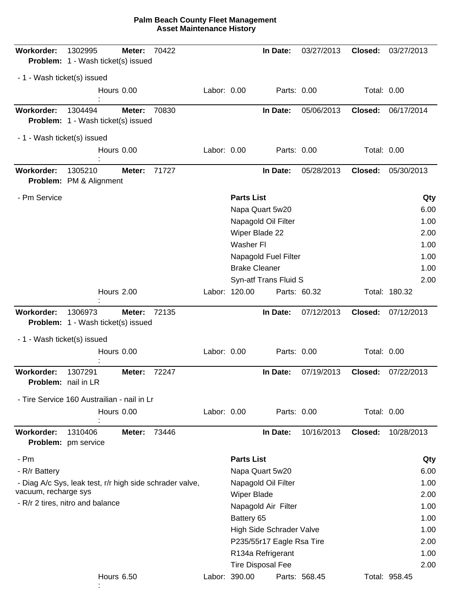| Workorder:                        | 1302995<br><b>Problem:</b> 1 - Wash ticket(s) issued     | Meter:     | 70422 |             |                      | In Date:                  | 03/27/2013    | Closed:     | 03/27/2013    |
|-----------------------------------|----------------------------------------------------------|------------|-------|-------------|----------------------|---------------------------|---------------|-------------|---------------|
| - 1 - Wash ticket(s) issued       |                                                          |            |       |             |                      |                           |               |             |               |
|                                   |                                                          | Hours 0.00 |       | Labor: 0.00 |                      | Parts: 0.00               |               | Total: 0.00 |               |
| <b>Workorder:</b>                 | 1304494<br><b>Problem:</b> 1 - Wash ticket(s) issued     | Meter:     | 70830 |             |                      | In Date:                  | 05/06/2013    | Closed:     | 06/17/2014    |
| - 1 - Wash ticket(s) issued       |                                                          |            |       |             |                      |                           |               |             |               |
|                                   | Hours 0.00                                               |            |       | Labor: 0.00 |                      | Parts: 0.00               |               | Total: 0.00 |               |
| <b>Workorder:</b>                 | 1305210<br>Problem: PM & Alignment                       | Meter:     | 71727 |             |                      | In Date:                  | 05/28/2013    | Closed:     | 05/30/2013    |
| - Pm Service                      |                                                          |            |       |             | <b>Parts List</b>    |                           |               |             | Qty           |
|                                   |                                                          |            |       |             |                      | Napa Quart 5w20           |               |             | 6.00          |
|                                   |                                                          |            |       |             |                      | Napagold Oil Filter       |               |             | 1.00          |
|                                   |                                                          |            |       |             |                      | Wiper Blade 22            |               |             | 2.00          |
|                                   |                                                          |            |       |             | Washer FI            |                           |               |             | 1.00          |
|                                   |                                                          |            |       |             | <b>Brake Cleaner</b> | Napagold Fuel Filter      |               |             | 1.00<br>1.00  |
|                                   |                                                          |            |       |             |                      | Syn-atf Trans Fluid S     |               |             | 2.00          |
|                                   |                                                          | Hours 2.00 |       |             | Labor: 120.00        | Parts: 60.32              |               |             | Total: 180.32 |
| <b>Workorder:</b>                 | 1306973<br><b>Problem:</b> 1 - Wash ticket(s) issued     | Meter:     | 72135 |             |                      | In Date:                  | 07/12/2013    | Closed:     | 07/12/2013    |
| - 1 - Wash ticket(s) issued       |                                                          |            |       |             |                      |                           |               |             |               |
|                                   |                                                          | Hours 0.00 |       | Labor: 0.00 |                      | Parts: 0.00               |               | Total: 0.00 |               |
| Workorder:<br>Problem: nail in LR | 1307291                                                  | Meter:     | 72247 |             |                      | In Date:                  | 07/19/2013    | Closed:     | 07/22/2013    |
|                                   | - Tire Service 160 Austrailian - nail in Lr              |            |       |             |                      |                           |               |             |               |
|                                   |                                                          | Hours 0.00 |       | Labor: 0.00 |                      | Parts: 0.00               |               | Total: 0.00 |               |
| <b>Workorder:</b>                 | 1310406<br>Problem: pm service                           | Meter:     | 73446 |             |                      | In Date:                  | 10/16/2013    | Closed:     | 10/28/2013    |
| - Pm                              |                                                          |            |       |             | <b>Parts List</b>    |                           |               |             | Qty           |
| - R/r Battery                     |                                                          |            |       |             |                      | Napa Quart 5w20           |               |             | 6.00          |
|                                   | - Diag A/c Sys, leak test, r/r high side schrader valve, |            |       |             |                      | Napagold Oil Filter       |               |             | 1.00          |
| vacuum, recharge sys              |                                                          |            |       |             | Wiper Blade          |                           |               |             | 2.00          |
|                                   | - R/r 2 tires, nitro and balance                         |            |       |             |                      | Napagold Air Filter       |               |             | 1.00          |
|                                   |                                                          |            |       |             | Battery 65           |                           |               |             | 1.00          |
|                                   |                                                          |            |       |             |                      | High Side Schrader Valve  |               |             | 1.00          |
|                                   |                                                          |            |       |             |                      | P235/55r17 Eagle Rsa Tire |               |             | 2.00          |
|                                   |                                                          |            |       |             |                      | R134a Refrigerant         |               |             | 1.00          |
|                                   |                                                          |            |       |             |                      | <b>Tire Disposal Fee</b>  |               |             | 2.00          |
|                                   |                                                          | Hours 6.50 |       |             | Labor: 390.00        |                           | Parts: 568.45 |             | Total: 958.45 |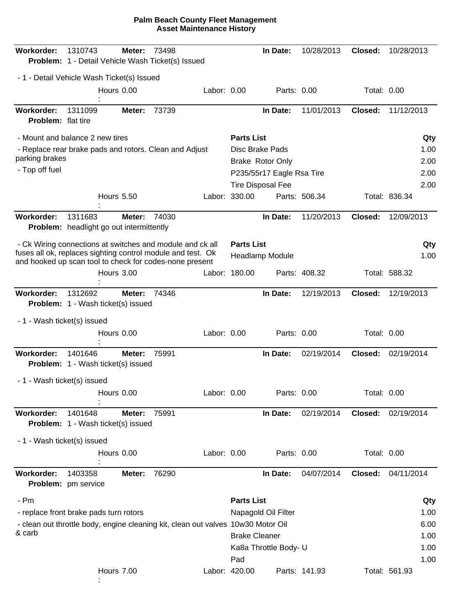| Workorder:                                     | 1310743<br>Problem: 1 - Detail Vehicle Wash Ticket(s) Issued                                                           | Meter:            | 73498 |             |                      | In Date:                  | 10/28/2013    | Closed:     | 10/28/2013    |      |
|------------------------------------------------|------------------------------------------------------------------------------------------------------------------------|-------------------|-------|-------------|----------------------|---------------------------|---------------|-------------|---------------|------|
|                                                | - 1 - Detail Vehicle Wash Ticket(s) Issued                                                                             |                   |       |             |                      |                           |               |             |               |      |
|                                                |                                                                                                                        | Hours 0.00        |       | Labor: 0.00 |                      | Parts: 0.00               |               | Total: 0.00 |               |      |
| <b>Workorder:</b><br><b>Problem:</b> flat tire | 1311099                                                                                                                | Meter:            | 73739 |             |                      | In Date:                  | 11/01/2013    | Closed:     | 11/12/2013    |      |
|                                                | - Mount and balance 2 new tires                                                                                        |                   |       |             | <b>Parts List</b>    |                           |               |             |               | Qty  |
|                                                | - Replace rear brake pads and rotors. Clean and Adjust                                                                 |                   |       |             |                      | <b>Disc Brake Pads</b>    |               |             |               | 1.00 |
| parking brakes                                 |                                                                                                                        |                   |       |             |                      | <b>Brake Rotor Only</b>   |               |             |               | 2.00 |
| - Top off fuel                                 |                                                                                                                        |                   |       |             |                      | P235/55r17 Eagle Rsa Tire |               |             |               | 2.00 |
|                                                |                                                                                                                        |                   |       |             |                      | <b>Tire Disposal Fee</b>  |               |             |               | 2.00 |
|                                                |                                                                                                                        | <b>Hours 5.50</b> |       |             | Labor: 330.00        |                           | Parts: 506.34 |             | Total: 836.34 |      |
| <b>Workorder:</b>                              | 1311683<br><b>Problem:</b> headlight go out intermittently                                                             | Meter:            | 74030 |             |                      | In Date:                  | 11/20/2013    | Closed:     | 12/09/2013    |      |
|                                                | - Ck Wiring connections at switches and module and ck all                                                              |                   |       |             | <b>Parts List</b>    |                           |               |             |               | Qty  |
|                                                | fuses all ok, replaces sighting control module and test. Ok<br>and hooked up scan tool to check for codes-none present |                   |       |             |                      | Headlamp Module           |               |             |               | 1.00 |
|                                                |                                                                                                                        | Hours 3.00        |       |             | Labor: 180.00        |                           | Parts: 408.32 |             | Total: 588.32 |      |
| <b>Workorder:</b>                              | 1312692<br><b>Problem:</b> 1 - Wash ticket(s) issued                                                                   | Meter:            | 74346 |             |                      | In Date:                  | 12/19/2013    | Closed:     | 12/19/2013    |      |
| - 1 - Wash ticket(s) issued                    |                                                                                                                        |                   |       |             |                      |                           |               |             |               |      |
|                                                |                                                                                                                        | Hours 0.00        |       | Labor: 0.00 |                      | Parts: 0.00               |               | Total: 0.00 |               |      |
| Workorder:                                     | 1401646<br><b>Problem:</b> 1 - Wash ticket(s) issued                                                                   | Meter:            | 75991 |             |                      | In Date:                  | 02/19/2014    | Closed:     | 02/19/2014    |      |
| - 1 - Wash ticket(s) issued                    |                                                                                                                        |                   |       |             |                      |                           |               |             |               |      |
|                                                |                                                                                                                        | Hours 0.00        |       | Labor: 0.00 |                      | Parts: 0.00               |               | Total: 0.00 |               |      |
| Workorder:                                     | 1401648<br><b>Problem:</b> 1 - Wash ticket(s) issued                                                                   | Meter:            | 75991 |             |                      | In Date:                  | 02/19/2014    | Closed:     | 02/19/2014    |      |
| - 1 - Wash ticket(s) issued                    |                                                                                                                        |                   |       |             |                      |                           |               |             |               |      |
|                                                |                                                                                                                        | Hours 0.00        |       | Labor: 0.00 |                      | Parts: 0.00               |               | Total: 0.00 |               |      |
| <b>Workorder:</b>                              | 1403358<br>Problem: pm service                                                                                         | Meter:            | 76290 |             |                      | In Date:                  | 04/07/2014    | Closed:     | 04/11/2014    |      |
| - Pm                                           |                                                                                                                        |                   |       |             | <b>Parts List</b>    |                           |               |             |               | Qty  |
|                                                | - replace front brake pads turn rotors                                                                                 |                   |       |             |                      | Napagold Oil Filter       |               |             |               | 1.00 |
|                                                | - clean out throttle body, engine cleaning kit, clean out valves 10w30 Motor Oil                                       |                   |       |             |                      |                           |               |             |               | 6.00 |
| & carb                                         |                                                                                                                        |                   |       |             | <b>Brake Cleaner</b> |                           |               |             |               | 1.00 |
|                                                |                                                                                                                        |                   |       |             |                      | Ka8a Throttle Body- U     |               |             |               | 1.00 |
|                                                |                                                                                                                        |                   |       |             | Pad                  |                           |               |             |               | 1.00 |
|                                                |                                                                                                                        | Hours 7.00        |       |             | Labor: 420.00        |                           | Parts: 141.93 |             | Total: 561.93 |      |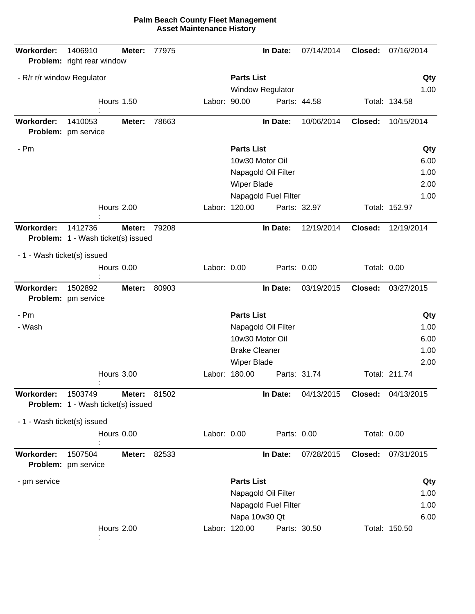| Workorder:                  | 1406910<br>Problem: right rear window         | Meter:       | 77975 |              |                      | In Date:                | 07/14/2014   | Closed:            | 07/16/2014    |
|-----------------------------|-----------------------------------------------|--------------|-------|--------------|----------------------|-------------------------|--------------|--------------------|---------------|
| - R/r r/r window Regulator  |                                               |              |       |              | <b>Parts List</b>    |                         |              |                    | Qty           |
|                             |                                               |              |       |              |                      | <b>Window Regulator</b> |              |                    | 1.00          |
|                             | <b>Hours 1.50</b>                             |              |       | Labor: 90.00 |                      |                         | Parts: 44.58 |                    | Total: 134.58 |
| Workorder:                  | 1410053<br>Problem: pm service                | Meter:       | 78663 |              |                      | In Date:                | 10/06/2014   | Closed:            | 10/15/2014    |
| - Pm                        |                                               |              |       |              | <b>Parts List</b>    |                         |              |                    | Qty           |
|                             |                                               |              |       |              |                      | 10w30 Motor Oil         |              |                    | 6.00          |
|                             |                                               |              |       |              |                      | Napagold Oil Filter     |              |                    | 1.00          |
|                             |                                               |              |       |              | <b>Wiper Blade</b>   |                         |              |                    | 2.00          |
|                             |                                               |              |       |              |                      | Napagold Fuel Filter    |              |                    | 1.00          |
|                             | Hours 2.00                                    |              |       |              | Labor: 120.00        |                         | Parts: 32.97 |                    | Total: 152.97 |
| <b>Workorder:</b>           | 1412736                                       | Meter:       | 79208 |              |                      | In Date:                | 12/19/2014   | Closed:            | 12/19/2014    |
|                             | <b>Problem:</b> 1 - Wash ticket(s) issued     |              |       |              |                      |                         |              |                    |               |
| - 1 - Wash ticket(s) issued |                                               |              |       |              |                      |                         |              |                    |               |
|                             | Hours 0.00                                    |              |       | Labor: 0.00  |                      | Parts: 0.00             |              | <b>Total: 0.00</b> |               |
| <b>Workorder:</b>           | 1502892<br>Problem: pm service                | Meter:       | 80903 |              |                      | In Date:                | 03/19/2015   | Closed:            | 03/27/2015    |
| - Pm                        |                                               |              |       |              | <b>Parts List</b>    |                         |              |                    | Qty           |
| - Wash                      |                                               |              |       |              |                      | Napagold Oil Filter     |              |                    | 1.00          |
|                             |                                               |              |       |              |                      | 10w30 Motor Oil         |              |                    | 6.00          |
|                             |                                               |              |       |              | <b>Brake Cleaner</b> |                         |              |                    | 1.00          |
|                             |                                               |              |       |              | <b>Wiper Blade</b>   |                         |              |                    | 2.00          |
|                             | Hours 3.00                                    |              |       |              | Labor: 180.00        |                         | Parts: 31.74 |                    | Total: 211.74 |
| Workorder:                  | 1503749<br>Problem: 1 - Wash ticket(s) issued | Meter: 81502 |       |              |                      | In Date:                | 04/13/2015   | Closed:            | 04/13/2015    |
| - 1 - Wash ticket(s) issued |                                               |              |       |              |                      |                         |              |                    |               |
|                             | Hours 0.00                                    |              |       | Labor: 0.00  |                      | Parts: 0.00             |              | Total: 0.00        |               |
| Workorder:                  | 1507504<br>Problem: pm service                | Meter:       | 82533 |              |                      | In Date:                | 07/28/2015   | Closed:            | 07/31/2015    |
| - pm service                |                                               |              |       |              | <b>Parts List</b>    |                         |              |                    | Qty           |
|                             |                                               |              |       |              |                      | Napagold Oil Filter     |              |                    | 1.00          |
|                             |                                               |              |       |              |                      | Napagold Fuel Filter    |              |                    | 1.00          |
|                             |                                               |              |       |              |                      | Napa 10w30 Qt           |              |                    | 6.00          |
|                             | Hours 2.00                                    |              |       |              | Labor: 120.00        |                         | Parts: 30.50 |                    | Total: 150.50 |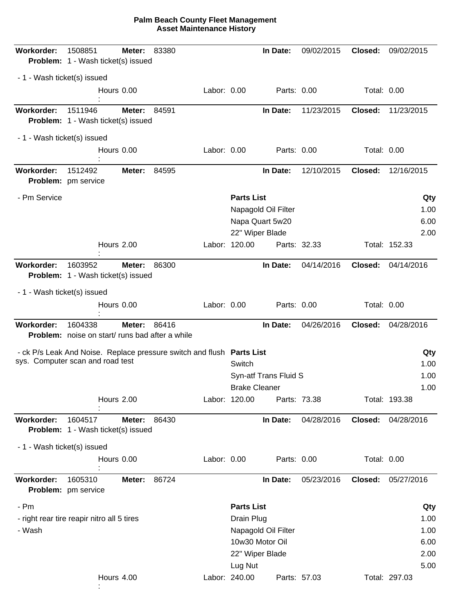| Workorder:                  | 1508851<br>Problem: 1 - Wash ticket(s) issued                                                             | Meter: | 83380 |             |                      | In Date:              | 09/02/2015   | Closed:            | 09/02/2015    |
|-----------------------------|-----------------------------------------------------------------------------------------------------------|--------|-------|-------------|----------------------|-----------------------|--------------|--------------------|---------------|
| - 1 - Wash ticket(s) issued |                                                                                                           |        |       |             |                      |                       |              |                    |               |
|                             | Hours 0.00                                                                                                |        |       | Labor: 0.00 |                      | Parts: 0.00           |              | Total: 0.00        |               |
| Workorder:                  | 1511946<br><b>Problem:</b> 1 - Wash ticket(s) issued                                                      | Meter: | 84591 |             |                      | In Date:              | 11/23/2015   | Closed:            | 11/23/2015    |
| - 1 - Wash ticket(s) issued |                                                                                                           |        |       |             |                      |                       |              |                    |               |
|                             | Hours 0.00                                                                                                |        |       | Labor: 0.00 |                      | Parts: 0.00           |              | <b>Total: 0.00</b> |               |
| <b>Workorder:</b>           | 1512492<br>Problem: pm service                                                                            | Meter: | 84595 |             |                      | In Date:              | 12/10/2015   | Closed:            | 12/16/2015    |
| - Pm Service                |                                                                                                           |        |       |             | <b>Parts List</b>    |                       |              |                    | Qty           |
|                             |                                                                                                           |        |       |             |                      | Napagold Oil Filter   |              |                    | 1.00          |
|                             |                                                                                                           |        |       |             |                      | Napa Quart 5w20       |              |                    | 6.00          |
|                             |                                                                                                           |        |       |             |                      | 22" Wiper Blade       |              |                    | 2.00          |
|                             | Hours 2.00                                                                                                |        |       |             | Labor: 120.00        |                       | Parts: 32.33 |                    | Total: 152.33 |
| Workorder:                  | 1603952<br><b>Problem:</b> 1 - Wash ticket(s) issued                                                      | Meter: | 86300 |             |                      | In Date:              | 04/14/2016   | Closed:            | 04/14/2016    |
| - 1 - Wash ticket(s) issued |                                                                                                           |        |       |             |                      |                       |              |                    |               |
|                             | Hours 0.00                                                                                                |        |       | Labor: 0.00 |                      | Parts: 0.00           |              | Total: 0.00        |               |
| Workorder:                  | 1604338                                                                                                   | Meter: | 86416 |             |                      | In Date:              | 04/26/2016   | Closed:            | 04/28/2016    |
|                             | <b>Problem:</b> noise on start/runs bad after a while                                                     |        |       |             |                      |                       |              |                    |               |
|                             |                                                                                                           |        |       |             |                      |                       |              |                    | Qty           |
|                             | - ck P/s Leak And Noise. Replace pressure switch and flush Parts List<br>sys. Computer scan and road test |        |       |             | Switch               |                       |              |                    | 1.00          |
|                             |                                                                                                           |        |       |             |                      | Syn-atf Trans Fluid S |              |                    | 1.00          |
|                             |                                                                                                           |        |       |             | <b>Brake Cleaner</b> |                       |              |                    | 1.00          |
|                             | Hours 2.00                                                                                                |        |       |             | Labor: 120.00        |                       | Parts: 73.38 |                    | Total: 193.38 |
| Workorder:                  | 1604517<br><b>Problem:</b> 1 - Wash ticket(s) issued                                                      | Meter: | 86430 |             |                      | In Date:              | 04/28/2016   | Closed:            | 04/28/2016    |
| - 1 - Wash ticket(s) issued |                                                                                                           |        |       |             |                      |                       |              |                    |               |
|                             | Hours 0.00                                                                                                |        |       | Labor: 0.00 |                      | Parts: 0.00           |              | Total: 0.00        |               |
| Workorder:                  | 1605310<br>Problem: pm service                                                                            | Meter: | 86724 |             |                      | In Date:              | 05/23/2016   | Closed:            | 05/27/2016    |
| - Pm                        |                                                                                                           |        |       |             | <b>Parts List</b>    |                       |              |                    | Qty           |
|                             | - right rear tire reapir nitro all 5 tires                                                                |        |       |             | Drain Plug           |                       |              |                    | 1.00          |
| - Wash                      |                                                                                                           |        |       |             |                      | Napagold Oil Filter   |              |                    | 1.00          |
|                             |                                                                                                           |        |       |             |                      | 10w30 Motor Oil       |              |                    | 6.00          |
|                             |                                                                                                           |        |       |             |                      | 22" Wiper Blade       |              |                    | 2.00          |
|                             |                                                                                                           |        |       |             | Lug Nut              |                       |              |                    | 5.00          |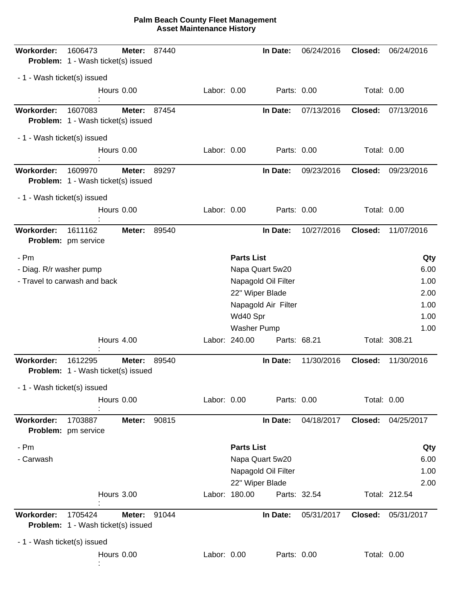| Workorder:                  | 1606473<br>Problem: 1 - Wash ticket(s) issued        | Meter:     | 87440 |             |                   | In Date:            | 06/24/2016   | Closed:     | 06/24/2016    |              |
|-----------------------------|------------------------------------------------------|------------|-------|-------------|-------------------|---------------------|--------------|-------------|---------------|--------------|
| - 1 - Wash ticket(s) issued |                                                      |            |       |             |                   |                     |              |             |               |              |
|                             |                                                      | Hours 0.00 |       | Labor: 0.00 |                   | Parts: 0.00         |              | Total: 0.00 |               |              |
| <b>Workorder:</b>           | 1607083<br><b>Problem:</b> 1 - Wash ticket(s) issued | Meter:     | 87454 |             |                   | In Date:            | 07/13/2016   | Closed:     | 07/13/2016    |              |
| - 1 - Wash ticket(s) issued |                                                      |            |       |             |                   |                     |              |             |               |              |
|                             |                                                      | Hours 0.00 |       | Labor: 0.00 |                   | Parts: 0.00         |              | Total: 0.00 |               |              |
| <b>Workorder:</b>           | 1609970<br><b>Problem:</b> 1 - Wash ticket(s) issued | Meter:     | 89297 |             |                   | In Date:            | 09/23/2016   | Closed:     | 09/23/2016    |              |
| - 1 - Wash ticket(s) issued |                                                      |            |       |             |                   |                     |              |             |               |              |
|                             |                                                      | Hours 0.00 |       | Labor: 0.00 |                   | Parts: 0.00         |              | Total: 0.00 |               |              |
| Workorder:                  | 1611162<br>Problem: pm service                       | Meter:     | 89540 |             |                   | In Date:            | 10/27/2016   | Closed:     | 11/07/2016    |              |
| - Pm                        |                                                      |            |       |             | <b>Parts List</b> |                     |              |             |               | Qty          |
| - Diag. R/r washer pump     |                                                      |            |       |             |                   | Napa Quart 5w20     |              |             |               | 6.00         |
|                             | - Travel to carwash and back                         |            |       |             |                   | Napagold Oil Filter |              |             |               | 1.00         |
|                             |                                                      |            |       |             |                   | 22" Wiper Blade     |              |             |               | 2.00         |
|                             |                                                      |            |       |             |                   | Napagold Air Filter |              |             |               | 1.00         |
|                             |                                                      |            |       |             | Wd40 Spr          | Washer Pump         |              |             |               | 1.00<br>1.00 |
|                             |                                                      | Hours 4.00 |       |             | Labor: 240.00     | Parts: 68.21        |              |             | Total: 308.21 |              |
|                             |                                                      |            |       |             |                   |                     |              |             |               |              |
| Workorder:                  | 1612295<br><b>Problem:</b> 1 - Wash ticket(s) issued | Meter:     | 89540 |             |                   | In Date:            | 11/30/2016   | Closed:     | 11/30/2016    |              |
| - 1 - Wash ticket(s) issued |                                                      |            |       |             |                   |                     |              |             |               |              |
|                             |                                                      | Hours 0.00 |       | Labor: 0.00 |                   | Parts: 0.00         |              | Total: 0.00 |               |              |
| Workorder:                  | 1703887<br>Problem: pm service                       | Meter:     | 90815 |             |                   | In Date:            | 04/18/2017   | Closed:     | 04/25/2017    |              |
| - Pm                        |                                                      |            |       |             | <b>Parts List</b> |                     |              |             |               | Qty          |
| - Carwash                   |                                                      |            |       |             |                   | Napa Quart 5w20     |              |             |               | 6.00         |
|                             |                                                      |            |       |             |                   | Napagold Oil Filter |              |             |               | 1.00         |
|                             |                                                      | Hours 3.00 |       |             | Labor: 180.00     | 22" Wiper Blade     | Parts: 32.54 |             | Total: 212.54 | 2.00         |
| Workorder:                  | 1705424                                              | Meter:     | 91044 |             |                   | In Date:            | 05/31/2017   | Closed:     | 05/31/2017    |              |
|                             | <b>Problem:</b> 1 - Wash ticket(s) issued            |            |       |             |                   |                     |              |             |               |              |
| - 1 - Wash ticket(s) issued |                                                      |            |       |             |                   |                     |              |             |               |              |
|                             |                                                      | Hours 0.00 |       | Labor: 0.00 |                   | Parts: 0.00         |              | Total: 0.00 |               |              |